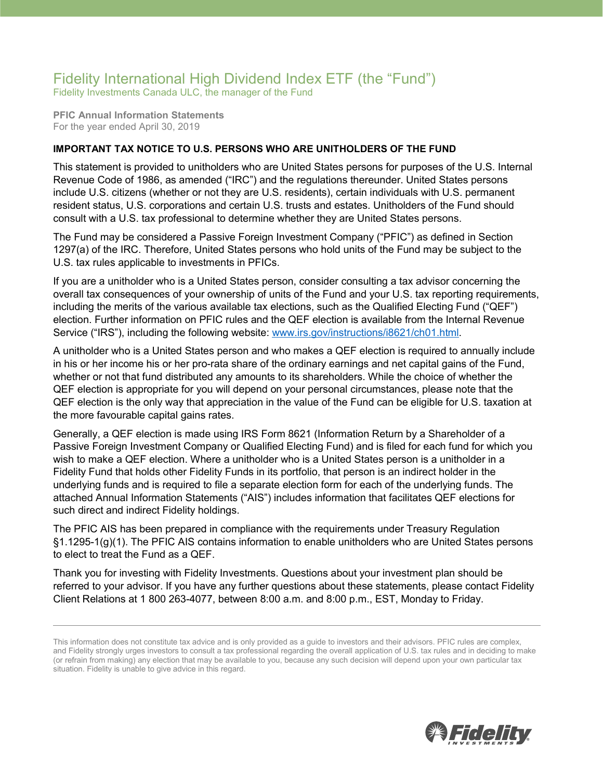## Fidelity International High Dividend Index ETF (the "Fund")

Fidelity Investments Canada ULC, the manager of the Fund

**PFIC Annual Information Statements** For the year ended April 30, 2019

## **IMPORTANT TAX NOTICE TO U.S. PERSONS WHO ARE UNITHOLDERS OF THE FUND**

This statement is provided to unitholders who are United States persons for purposes of the U.S. Internal Revenue Code of 1986, as amended ("IRC") and the regulations thereunder. United States persons include U.S. citizens (whether or not they are U.S. residents), certain individuals with U.S. permanent resident status, U.S. corporations and certain U.S. trusts and estates. Unitholders of the Fund should consult with a U.S. tax professional to determine whether they are United States persons.

The Fund may be considered a Passive Foreign Investment Company ("PFIC") as defined in Section 1297(a) of the IRC. Therefore, United States persons who hold units of the Fund may be subject to the U.S. tax rules applicable to investments in PFICs.

If you are a unitholder who is a United States person, consider consulting a tax advisor concerning the overall tax consequences of your ownership of units of the Fund and your U.S. tax reporting requirements, including the merits of the various available tax elections, such as the Qualified Electing Fund ("QEF") election. Further information on PFIC rules and the QEF election is available from the Internal Revenue Service ("IRS"), including the following website: [www.irs.gov/instructions/i8621/ch01.html.](http://www.irs.gov/instructions/i8621/ch01.html)

A unitholder who is a United States person and who makes a QEF election is required to annually include in his or her income his or her pro-rata share of the ordinary earnings and net capital gains of the Fund, whether or not that fund distributed any amounts to its shareholders. While the choice of whether the QEF election is appropriate for you will depend on your personal circumstances, please note that the QEF election is the only way that appreciation in the value of the Fund can be eligible for U.S. taxation at the more favourable capital gains rates.

Generally, a QEF election is made using IRS Form 8621 (Information Return by a Shareholder of a Passive Foreign Investment Company or Qualified Electing Fund) and is filed for each fund for which you wish to make a QEF election. Where a unitholder who is a United States person is a unitholder in a Fidelity Fund that holds other Fidelity Funds in its portfolio, that person is an indirect holder in the underlying funds and is required to file a separate election form for each of the underlying funds. The attached Annual Information Statements ("AIS") includes information that facilitates QEF elections for such direct and indirect Fidelity holdings.

The PFIC AIS has been prepared in compliance with the requirements under Treasury Regulation §1.1295-1(g)(1). The PFIC AIS contains information to enable unitholders who are United States persons to elect to treat the Fund as a QEF.

Thank you for investing with Fidelity Investments. Questions about your investment plan should be referred to your advisor. If you have any further questions about these statements, please contact Fidelity Client Relations at 1 800 263-4077, between 8:00 a.m. and 8:00 p.m., EST, Monday to Friday.



This information does not constitute tax advice and is only provided as a guide to investors and their advisors. PFIC rules are complex, and Fidelity strongly urges investors to consult a tax professional regarding the overall application of U.S. tax rules and in deciding to make (or refrain from making) any election that may be available to you, because any such decision will depend upon your own particular tax situation. Fidelity is unable to give advice in this regard.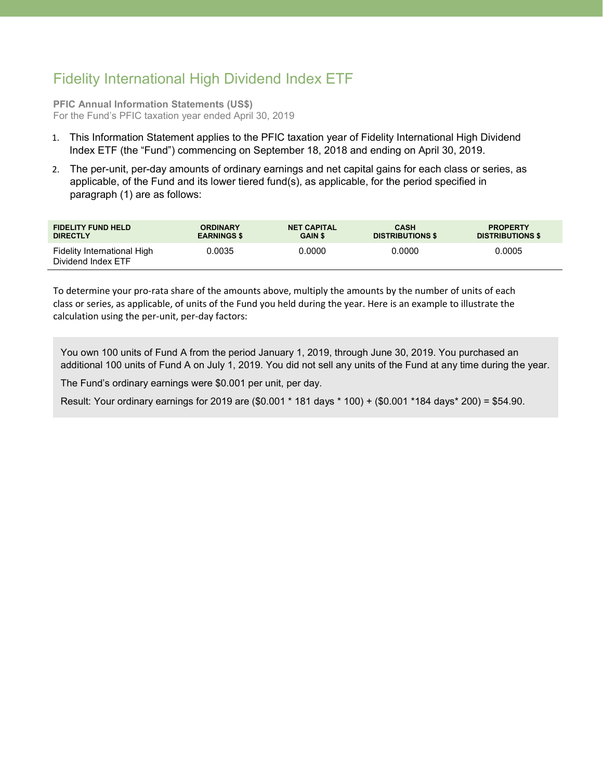## Fidelity International High Dividend Index ETF

**PFIC Annual Information Statements (US\$)** For the Fund's PFIC taxation year ended April 30, 2019

- 1. This Information Statement applies to the PFIC taxation year of Fidelity International High Dividend Index ETF (the "Fund") commencing on September 18, 2018 and ending on April 30, 2019.
- 2. The per-unit, per-day amounts of ordinary earnings and net capital gains for each class or series, as applicable, of the Fund and its lower tiered fund(s), as applicable, for the period specified in paragraph (1) are as follows:

| <b>FIDELITY FUND HELD</b>                         | <b>ORDINARY</b>    | <b>NET CAPITAL</b> | <b>CASH</b>             | <b>PROPERTY</b>         |
|---------------------------------------------------|--------------------|--------------------|-------------------------|-------------------------|
| <b>DIRECTLY</b>                                   | <b>EARNINGS \$</b> | <b>GAIN \$</b>     | <b>DISTRIBUTIONS \$</b> | <b>DISTRIBUTIONS \$</b> |
| Fidelity International High<br>Dividend Index ETF | 0.0035             | 0.0000             | 0.0000                  | 0.0005                  |

To determine your pro-rata share of the amounts above, multiply the amounts by the number of units of each class or series, as applicable, of units of the Fund you held during the year. Here is an example to illustrate the calculation using the per-unit, per-day factors:

You own 100 units of Fund A from the period January 1, 2019, through June 30, 2019. You purchased an additional 100 units of Fund A on July 1, 2019. You did not sell any units of the Fund at any time during the year.

The Fund's ordinary earnings were \$0.001 per unit, per day.

Result: Your ordinary earnings for 2019 are (\$0.001 \* 181 days \* 100) + (\$0.001 \*184 days\* 200) = \$54.90.